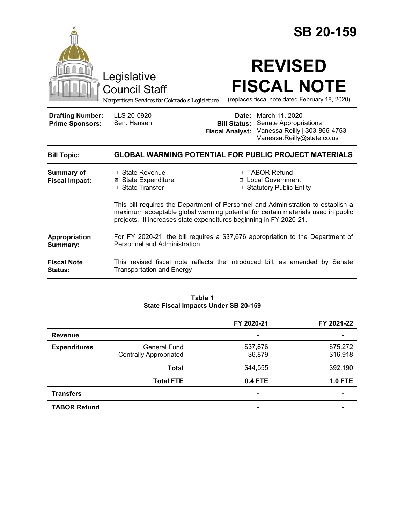|                                                   | Legislative<br><b>Council Staff</b><br>Nonpartisan Services for Colorado's Legislature                                                                 |                                               | <b>SB 20-159</b><br><b>REVISED</b><br><b>FISCAL NOTE</b><br>(replaces fiscal note dated February 18, 2020)                                            |  |
|---------------------------------------------------|--------------------------------------------------------------------------------------------------------------------------------------------------------|-----------------------------------------------|-------------------------------------------------------------------------------------------------------------------------------------------------------|--|
| <b>Drafting Number:</b><br><b>Prime Sponsors:</b> | LLS 20-0920<br>Sen. Hansen                                                                                                                             | <b>Bill Status:</b><br><b>Fiscal Analyst:</b> | <b>Date:</b> March 11, 2020<br><b>Senate Appropriations</b><br>Vanessa Reilly   303-866-4753<br>Vanessa.Reilly@state.co.us                            |  |
| <b>Bill Topic:</b>                                | <b>GLOBAL WARMING POTENTIAL FOR PUBLIC PROJECT MATERIALS</b>                                                                                           |                                               |                                                                                                                                                       |  |
| <b>Summary of</b><br><b>Fiscal Impact:</b>        | □ State Revenue<br><b>⊠ State Expenditure</b><br>□ State Transfer                                                                                      |                                               | □ TABOR Refund<br>□ Local Government<br>□ Statutory Public Entity<br>This bill requires the Department of Personnel and Administration to establish a |  |
|                                                   | maximum acceptable global warming potential for certain materials used in public<br>projects. It increases state expenditures beginning in FY 2020-21. |                                               |                                                                                                                                                       |  |
| Appropriation<br>Summary:                         | For FY 2020-21, the bill requires a \$37,676 appropriation to the Department of<br>Personnel and Administration.                                       |                                               |                                                                                                                                                       |  |
| <b>Fiscal Note</b><br><b>Status:</b>              | This revised fiscal note reflects the introduced bill, as amended by Senate<br><b>Transportation and Energy</b>                                        |                                               |                                                                                                                                                       |  |

### **Table 1 State Fiscal Impacts Under SB 20-159**

|                     |                               | FY 2020-21     | FY 2021-22 |
|---------------------|-------------------------------|----------------|------------|
| <b>Revenue</b>      |                               |                |            |
| <b>Expenditures</b> | General Fund                  | \$37,676       | \$75,272   |
|                     | <b>Centrally Appropriated</b> | \$6,879        | \$16,918   |
|                     | <b>Total</b>                  | \$44,555       | \$92,190   |
|                     | <b>Total FTE</b>              | <b>0.4 FTE</b> | $1.0$ FTE  |
| <b>Transfers</b>    |                               |                |            |
| <b>TABOR Refund</b> |                               | -              |            |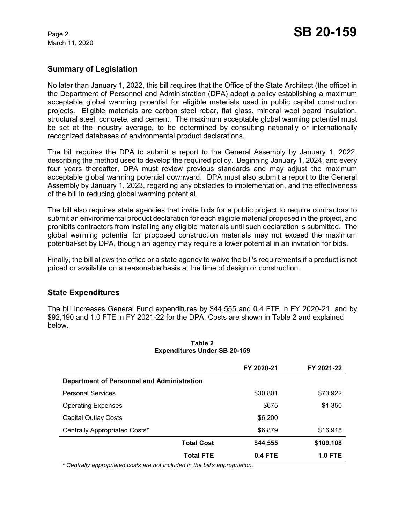March 11, 2020

# **Summary of Legislation**

No later than January 1, 2022, this bill requires that the Office of the State Architect (the office) in the Department of Personnel and Administration (DPA) adopt a policy establishing a maximum acceptable global warming potential for eligible materials used in public capital construction projects. Eligible materials are carbon steel rebar, flat glass, mineral wool board insulation, structural steel, concrete, and cement. The maximum acceptable global warming potential must be set at the industry average, to be determined by consulting nationally or internationally recognized databases of environmental product declarations.

The bill requires the DPA to submit a report to the General Assembly by January 1, 2022, describing the method used to develop the required policy. Beginning January 1, 2024, and every four years thereafter, DPA must review previous standards and may adjust the maximum acceptable global warming potential downward. DPA must also submit a report to the General Assembly by January 1, 2023, regarding any obstacles to implementation, and the effectiveness of the bill in reducing global warming potential.

The bill also requires state agencies that invite bids for a public project to require contractors to submit an environmental product declaration for each eligible material proposed in the project, and prohibits contractors from installing any eligible materials until such declaration is submitted. The global warming potential for proposed construction materials may not exceed the maximum potential-set by DPA, though an agency may require a lower potential in an invitation for bids.

Finally, the bill allows the office or a state agency to waive the bill's requirements if a product is not priced or available on a reasonable basis at the time of design or construction.

## **State Expenditures**

The bill increases General Fund expenditures by \$44,555 and 0.4 FTE in FY 2020-21, and by \$92,190 and 1.0 FTE in FY 2021-22 for the DPA. Costs are shown in Table 2 and explained below.

|                                            | FY 2020-21                    | FY 2021-22     |  |  |
|--------------------------------------------|-------------------------------|----------------|--|--|
| Department of Personnel and Administration |                               |                |  |  |
| <b>Personal Services</b>                   | \$30,801                      | \$73,922       |  |  |
| <b>Operating Expenses</b>                  | \$675                         | \$1,350        |  |  |
| Capital Outlay Costs                       | \$6,200                       |                |  |  |
| Centrally Appropriated Costs*              | \$6,879                       | \$16,918       |  |  |
|                                            | <b>Total Cost</b><br>\$44,555 | \$109,108      |  |  |
|                                            | 0.4 FTE<br><b>Total FTE</b>   | <b>1.0 FTE</b> |  |  |

### **Table 2 Expenditures Under SB 20-159**

 *\* Centrally appropriated costs are not included in the bill's appropriation.*